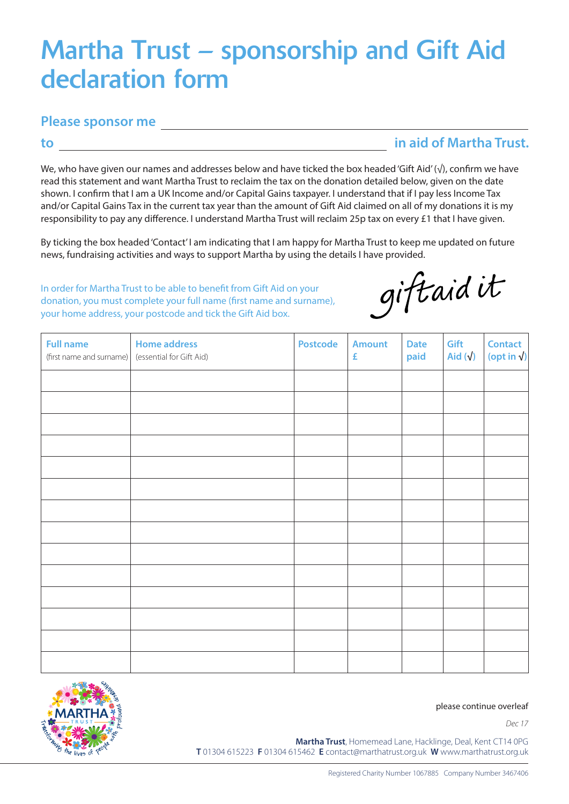## Martha Trust – sponsorship and Gift Aid declaration form

## **Please sponsor me**

## **to**

**in aid of Martha Trust.**

We, who have given our names and addresses below and have ticked the box headed 'Gift Aid' (√), confirm we have read this statement and want Martha Trust to reclaim the tax on the donation detailed below, given on the date shown. I confirm that I am a UK Income and/or Capital Gains taxpayer. I understand that if I pay less Income Tax and/or Capital Gains Tax in the current tax year than the amount of Gift Aid claimed on all of my donations it is my responsibility to pay any difference. I understand Martha Trust will reclaim 25p tax on every £1 that I have given.

By ticking the box headed 'Contact' I am indicating that I am happy for Martha Trust to keep me updated on future news, fundraising activities and ways to support Martha by using the details I have provided.

In order for Martha Trust to be able to benefit from Gift Aid on your donation, you must complete your full name (first name and surname), your home address, your postcode and tick the Gift Aid box.

giftaidit

| <b>Full name</b><br>(first name and surname) | <b>Home address</b><br>(essential for Gift Aid) | <b>Postcode</b> | <b>Amount</b><br>£ | <b>Date</b><br>paid | Gift<br>Aid $(\sqrt{)}$ | <b>Contact</b><br>(opt in $\sqrt{}$ ) |
|----------------------------------------------|-------------------------------------------------|-----------------|--------------------|---------------------|-------------------------|---------------------------------------|
|                                              |                                                 |                 |                    |                     |                         |                                       |
|                                              |                                                 |                 |                    |                     |                         |                                       |
|                                              |                                                 |                 |                    |                     |                         |                                       |
|                                              |                                                 |                 |                    |                     |                         |                                       |
|                                              |                                                 |                 |                    |                     |                         |                                       |
|                                              |                                                 |                 |                    |                     |                         |                                       |
|                                              |                                                 |                 |                    |                     |                         |                                       |
|                                              |                                                 |                 |                    |                     |                         |                                       |
|                                              |                                                 |                 |                    |                     |                         |                                       |
|                                              |                                                 |                 |                    |                     |                         |                                       |
|                                              |                                                 |                 |                    |                     |                         |                                       |
|                                              |                                                 |                 |                    |                     |                         |                                       |
|                                              |                                                 |                 |                    |                     |                         |                                       |
|                                              |                                                 |                 |                    |                     |                         |                                       |



please continue overleaf

*Dec 17*

**Martha Trust**, Homemead Lane, Hacklinge, Deal, Kent CT14 0PG **T** 01304 615223 **F** 01304 615462 **E** contact@marthatrust.org.uk **W** www.marthatrust.org.uk